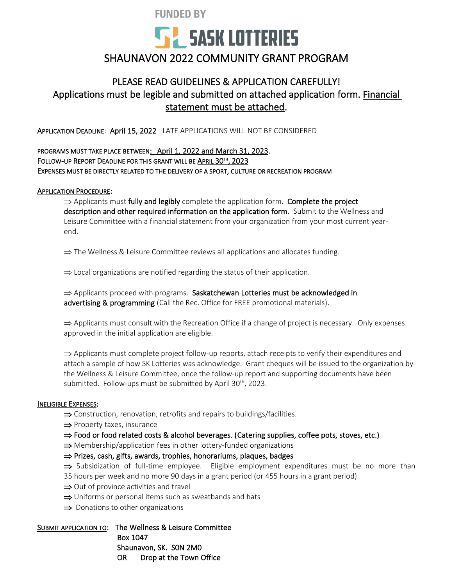**FUNDED BY** 



## SHAUNAVON 2022 COMMUNITY GRANT PROGRAM

### PLEASE READ GUIDELINES & APPLICATION CAREFULLY! Applications must be legible and submitted on attached application form. Financial statement must be attached.

APPLICATION DEADLINE: April 15, 2022 LATE APPLICATIONS WILL NOT BE CONSIDERED

### PROGRAMS MUST TAKE PLACE BETWEEN: April 1, 2022 and March 31, 2023. FOLLOW-UP REPORT DEADLINE FOR THIS GRANT WILL BE APRIL 30TH, 2023 EXPENSES MUST BE DIRECTLY RELATED TO THE DELIVERY OF A SPORT, CULTURE OR RECREATION PROGRAM

#### APPLICATION PROCEDURE:

 $\Rightarrow$  Applicants must fully and legibly complete the application form. Complete the project description and other required information on the application form. Submit to the Wellness and Leisure Committee with a financial statement from your organization from your most current yearend.

 $\Rightarrow$  The Wellness & Leisure Committee reviews all applications and allocates funding.

 $\Rightarrow$  Local organizations are notified regarding the status of their application.

 $\Rightarrow$  Applicants proceed with programs. Saskatchewan Lotteries must be acknowledged in advertising & programming (Call the Rec. Office for FREE promotional materials).

 $\Rightarrow$  Applicants must consult with the Recreation Office if a change of project is necessary. Only expenses approved in the initial application are eligible.

 $\Rightarrow$  Applicants must complete project follow-up reports, attach receipts to verify their expenditures and attach a sample of how SK Lotteries was acknowledge. Grant cheques will be issued to the organization by the Wellness & Leisure Committee, once the follow-up report and supporting documents have been submitted. Follow-ups must be submitted by April  $30<sup>th</sup>$ , 2023.

#### INELIGIBLE EXPENSES:

 $\Rightarrow$  Construction, renovation, retrofits and repairs to buildings/facilities.

 $\Rightarrow$  Property taxes, insurance

 $\Rightarrow$  Food or food related costs & alcohol beverages. (Catering supplies, coffee pots, stoves, etc.)

 $\Rightarrow$  Membership/application fees in other lottery-funded organizations

 $\Rightarrow$  Prizes, cash, gifts, awards, trophies, honorariums, plaques, badges

 $\Rightarrow$  Subsidization of full-time employee. Eligible employment expenditures must be no more than

35 hours per week and no more 90 days in a grant period (or 455 hours in a grant period)

- $\Rightarrow$  Out of province activities and travel
- $\Rightarrow$  Uniforms or personal items such as sweatbands and hats
- $\Rightarrow$  Donations to other organizations

SUBMIT APPLICATION TO: The Wellness & Leisure Committee Box 1047 Shaunavon, SK. S0N 2M0 OR Drop at the Town Office